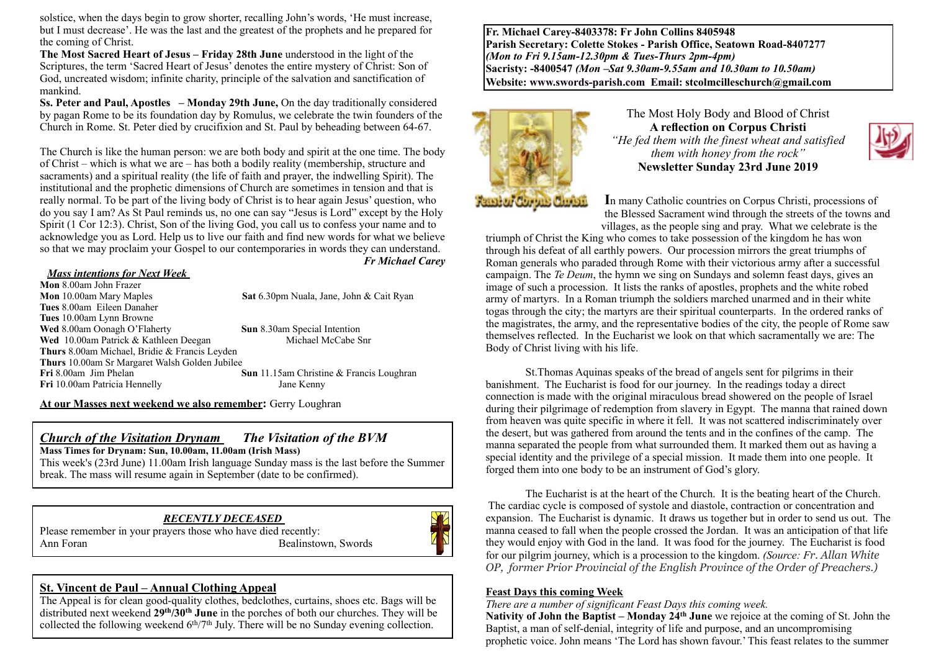solstice, when the days begin to grow shorter, recalling John's words, 'He must increase, but I must decrease'. He was the last and the greatest of the prophets and he prepared for the coming of Christ.

**The Most Sacred Heart of Jesus – Friday 28th June** understood in the light of the Scriptures, the term 'Sacred Heart of Jesus' denotes the entire mystery of Christ: Son of God, uncreated wisdom; infinite charity, principle of the salvation and sanctification of mankind.

**Ss. Peter and Paul, Apostles – Monday 29th June,** On the day traditionally considered by pagan Rome to be its foundation day by Romulus, we celebrate the twin founders of the Church in Rome. St. Peter died by crucifixion and St. Paul by beheading between 64-67.

The Church is like the human person: we are both body and spirit at the one time. The body of Christ – which is what we are – has both a bodily reality (membership, structure and sacraments) and a spiritual reality (the life of faith and prayer, the indwelling Spirit). The institutional and the prophetic dimensions of Church are sometimes in tension and that is really normal. To be part of the living body of Christ is to hear again Jesus' question, who do you say I am? As St Paul reminds us, no one can say "Jesus is Lord" except by the Holy Spirit (1 Cor 12:3). Christ, Son of the living God, you call us to confess your name and to acknowledge you as Lord. Help us to live our faith and find new words for what we believe so that we may proclaim your Gospel to our contemporaries in words they can understand. *Fr Michael Carey* 

#### *Mass intentions for Next Week*

**Mon** 8.00am John Frazer **Mon** 10.00am Mary Maples **Sat** 6.30pm Nuala, Jane, John & Cait Ryan **Tues** 8.00am Eileen Danaher **Tues** 10.00am Lynn Browne **Wed** 8.00am Oonagh O'Flaherty **Sun 8.30am Special Intention**<br> **Wed** 10.00am Patrick & Kathleen Deegan Michael McCabe Sun Wed 10.00am Patrick & Kathleen Deegan **Thurs** 8.00am Michael, Bridie & Francis Leyden **Thurs** 10.00am Sr Margaret Walsh Golden Jubilee **Fri** 8.00am Jim Phelan **Sun** 11.15am Christine & Francis Loughran **Fri** 10.00am Patricia HennellyJane Kenny

**At our Masses next weekend we also remember:** Gerry Loughran

## *Church of the Visitation Drynam**The Visitation of the BVM*

**Mass Times for Drynam: Sun, 10.00am, 11.00am (Irish Mass)** 

This week's (23rd June) 11.00am Irish language Sunday mass is the last before the Summer break. The mass will resume again in September (date to be confirmed).

### *RECENTLY DECEASED*

Please remember in your prayers those who have died recently: Ann Foran Bealinstown, Swords



### **St. Vincent de Paul – Annual Clothing Appeal**

The Appeal is for clean good-quality clothes, bedclothes, curtains, shoes etc. Bags will be distributed next weekend **29th/30th June** in the porches of both our churches. They will be collected the following weekend 6<sup>th</sup>/7<sup>th</sup> July. There will be no Sunday evening collection.

**Fr. Michael Carey-8403378: Fr John Collins 8405948 Parish Secretary: Colette Stokes - Parish Office, Seatown Road-8407277**  *(Mon to Fri 9.15am-12.30pm & Tues-Thurs 2pm-4pm)*  **Sacristy: -8400547** *(Mon –Sat 9.30am-9.55am and 10.30am to 10.50am)* **Website: [www.swords-parish.com Email:](http://www.swords-parish.com%20%20email) stcolmcilleschurch@gmail.com**



The Most Holy Body and Blood of Christ **A reflection on Corpus Christi** *"He fed them with the finest wheat and satisfied them with honey from the rock"*  **Newsletter Sunday 23rd June 2019** 



**I**n many Catholic countries on Corpus Christi, processions of the Blessed Sacrament wind through the streets of the towns and villages, as the people sing and pray. What we celebrate is the

triumph of Christ the King who comes to take possession of the kingdom he has won through his defeat of all earthly powers. Our procession mirrors the great triumphs of Roman generals who paraded through Rome with their victorious army after a successful campaign. The *Te Deum*, the hymn we sing on Sundays and solemn feast days, gives an image of such a procession. It lists the ranks of apostles, prophets and the white robed army of martyrs. In a Roman triumph the soldiers marched unarmed and in their white togas through the city; the martyrs are their spiritual counterparts. In the ordered ranks of the magistrates, the army, and the representative bodies of the city, the people of Rome saw themselves reflected. In the Eucharist we look on that which sacramentally we are: The Body of Christ living with his life.

St.Thomas Aquinas speaks of the bread of angels sent for pilgrims in their banishment. The Eucharist is food for our journey. In the readings today a direct connection is made with the original miraculous bread showered on the people of Israel during their pilgrimage of redemption from slavery in Egypt. The manna that rained down from heaven was quite specific in where it fell. It was not scattered indiscriminately over the desert, but was gathered from around the tents and in the confines of the camp. The manna separated the people from what surrounded them. It marked them out as having a special identity and the privilege of a special mission. It made them into one people. It forged them into one body to be an instrument of God's glory.

The Eucharist is at the heart of the Church. It is the beating heart of the Church. The cardiac cycle is composed of systole and diastole, contraction or concentration and expansion. The Eucharist is dynamic. It draws us together but in order to send us out. The manna ceased to fall when the people crossed the Jordan. It was an anticipation of that life they would enjoy with God in the land. It was food for the journey. The Eucharist is food for our pilgrim journey, which is a procession to the kingdom. *(Source: Fr. Allan White OP, former Prior Provincial of the English Province of the Order of Preachers.)*

### **Feast Days this coming Week**

*There are a number of significant Feast Days this coming week.* 

**Nativity of John the Baptist – Monday 24th June** we rejoice at the coming of St. John the Baptist, a man of self-denial, integrity of life and purpose, and an uncompromising prophetic voice. John means 'The Lord has shown favour.' This feast relates to the summer